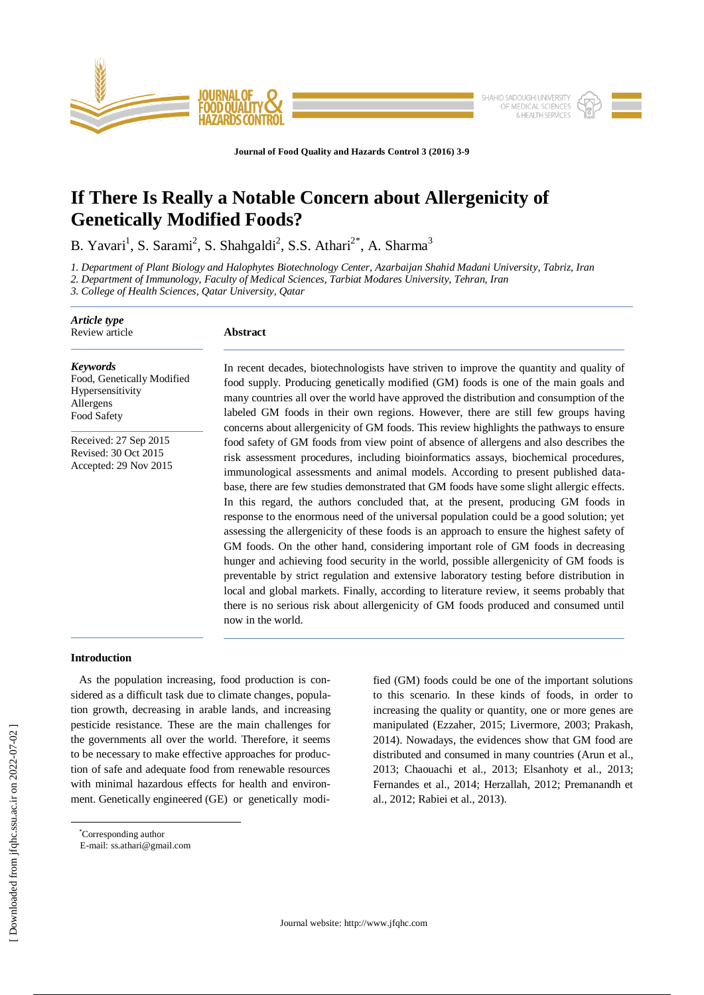

**Journal of Food Quality and Hazards Control 3 (2016) 3-9**

# **If There Is Really a Notable Concern about Allergenicity of Genetically Modified Foods?**

B. Yavari<sup>1</sup>, S. Sarami<sup>2</sup>, S. Shahgaldi<sup>2</sup>, S.S. Athari<sup>2\*</sup>, A. Sharma<sup>3</sup>

*1. Department of Plant Biology and Halophytes Biotechnology Center, Azarbaijan Shahid Madani University, Tabriz, Iran*

*2. Department of Immunology, Faculty of Medical Sciences, Tarbiat Modares University, Tehran, Iran*

*3. College of Health Sciences, Qatar University, Qatar* 

| Article type<br>Review article                                                                | <b>Abstract</b>                                                                                                                                                                                                                                                                                                                                                                                                                                                                                                                                                                                                                                                                                                                                                                                                                                                                                                                                                                                                                                                                                                                    |
|-----------------------------------------------------------------------------------------------|------------------------------------------------------------------------------------------------------------------------------------------------------------------------------------------------------------------------------------------------------------------------------------------------------------------------------------------------------------------------------------------------------------------------------------------------------------------------------------------------------------------------------------------------------------------------------------------------------------------------------------------------------------------------------------------------------------------------------------------------------------------------------------------------------------------------------------------------------------------------------------------------------------------------------------------------------------------------------------------------------------------------------------------------------------------------------------------------------------------------------------|
| <b>Keywords</b><br>Food, Genetically Modified<br>Hypersensitivity<br>Allergens<br>Food Safety | In recent decades, biotechnologists have striven to improve the quantity and quality of<br>food supply. Producing genetically modified (GM) foods is one of the main goals and<br>many countries all over the world have approved the distribution and consumption of the<br>labeled GM foods in their own regions. However, there are still few groups having<br>concerns about allergenicity of GM foods. This review highlights the pathways to ensure                                                                                                                                                                                                                                                                                                                                                                                                                                                                                                                                                                                                                                                                          |
| Received: 27 Sep 2015<br>Revised: 30 Oct 2015<br>Accepted: 29 Nov 2015                        | food safety of GM foods from view point of absence of allergens and also describes the<br>risk assessment procedures, including bioinformatics assays, biochemical procedures,<br>immunological assessments and animal models. According to present published data-<br>base, there are few studies demonstrated that GM foods have some slight allergic effects.<br>In this regard, the authors concluded that, at the present, producing GM foods in<br>response to the enormous need of the universal population could be a good solution; yet<br>assessing the allergenicity of these foods is an approach to ensure the highest safety of<br>GM foods. On the other hand, considering important role of GM foods in decreasing<br>hunger and achieving food security in the world, possible allergenicity of GM foods is<br>preventable by strict regulation and extensive laboratory testing before distribution in<br>local and global markets. Finally, according to literature review, it seems probably that<br>there is no serious risk about allergenicity of GM foods produced and consumed until<br>now in the world. |

# **Introduction**

 As the population increasing, food production is considered as a difficult task due to climate changes, population growth, decreasing in arable lands, and increasing pesticide resistance. These are the main challenges for the governments all over the world. Therefore, it seems to be necessary to make effective approaches for production of safe and adequate food from renewable resources with minimal hazardous effects for health and environment. Genetically engineered (GE) or genetically modified (GM) foods could be one of the important solutions to this scenario. In these kinds of foods, in order to increasing the quality or quantity, one or more genes are manipulated (Ezzaher, 2015; Livermore, 2003; Prakash, 2014). Nowadays, the evidences show that GM food are distributed and consumed in many countries (Arun et al., 2013; Chaouachi et al., 2013; Elsanhoty et al., 2013; Fernandes et al., 2014; Herzallah, 2012; Premanandh et al., 2012; Rabiei et al., 2013).

 $\overline{a}$ 

<sup>\*</sup>Corresponding author

E-mail: ss.athari@gmail.com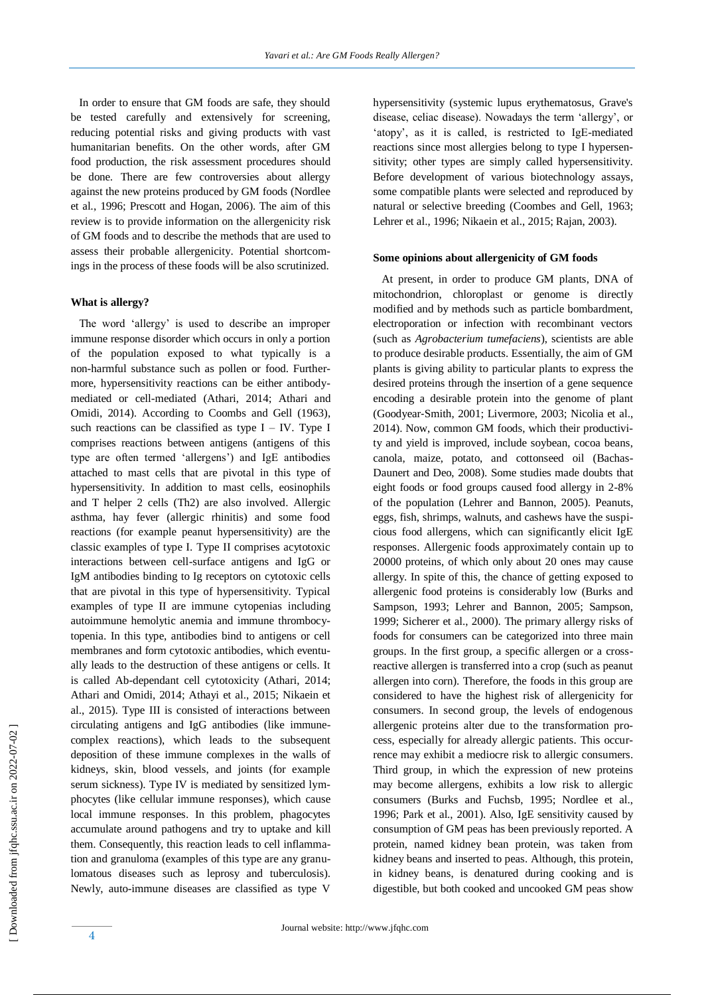In order to ensure that GM foods are safe, they should be tested carefully and extensively for screening, reducing potential risks and giving products with vast humanitarian benefits. On the other words, after GM food production, the risk assessment procedures should be done. There are few controversies about allergy against the new proteins produced by GM foods (Nordlee et al*.*, 1996; Prescott and Hogan, 2006). The aim of this review is to provide information on the allergenicity risk of GM foods and to describe the methods that are used to assess their probable allergenicity. Potential shortcomings in the process of these foods will be also scrutinized.

# **What is allergy?**

 The word 'allergy' is used to describe an improper immune response disorder which occurs in only a portion of the population exposed to what typically is a non-harmful substance such as pollen or food. Furthermore, hypersensitivity reactions can be either antibodymediated or cell-mediated (Athari, 2014; Athari and Omidi, 2014). According to Coombs and Gell (1963), such reactions can be classified as type  $I - IV$ . Type I comprises reactions between antigens (antigens of this type are often termed 'allergens') and IgE antibodies attached to mast cells that are pivotal in this type of hypersensitivity. In addition to mast cells, eosinophils and T helper 2 cells (Th2) are also involved. Allergic asthma, hay fever (allergic rhinitis) and some food reactions (for example peanut hypersensitivity) are the classic examples of type I. Type II comprises acytotoxic interactions between cell-surface antigens and IgG or IgM antibodies binding to Ig receptors on cytotoxic cells that are pivotal in this type of hypersensitivity. Typical examples of type II are immune cytopenias including autoimmune hemolytic anemia and immune thrombocytopenia. In this type, antibodies bind to antigens or cell membranes and form cytotoxic antibodies, which eventually leads to the destruction of these antigens or cells. It is called Ab-dependant cell cytotoxicity (Athari, 2014; Athari and Omidi, 2014; Athayi et al., 2015; Nikaein et al., 2015). Type III is consisted of interactions between circulating antigens and IgG antibodies (like immunecomplex reactions), which leads to the subsequent deposition of these immune complexes in the walls of kidneys, skin, blood vessels, and joints (for example serum sickness). Type IV is mediated by sensitized lymphocytes (like cellular immune responses), which cause local immune responses. In this problem, phagocytes accumulate around pathogens and try to uptake and kill them. Consequently, this reaction leads to cell inflammation and granuloma (examples of this type are any granulomatous diseases such as leprosy and tuberculosis). Newly, auto-immune diseases are classified as type V

hypersensitivity (systemic lupus erythematosus, Grave's disease, celiac disease). Nowadays the term 'allergy', or 'atopy', as it is called, is restricted to IgE-mediated reactions since most allergies belong to type I hypersensitivity; other types are simply called hypersensitivity. Before development of various biotechnology assays, some compatible plants were selected and reproduced by natural or selective breeding (Coombes and Gell, 1963; Lehrer et al., 1996; Nikaein et al., 2015; Rajan, 2003).

#### **Some opinions about allergenicity of GM foods**

 At present, in order to produce GM plants, DNA of mitochondrion, chloroplast or genome is directly modified and by methods such as particle bombardment, electroporation or infection with recombinant vectors (such as *Agrobacterium tumefaciens*), scientists are able to produce desirable products. Essentially, the aim of GM plants is giving ability to particular plants to express the desired proteins through the insertion of a gene sequence encoding a desirable protein into the genome of plant (Goodyear‐Smith, 2001; Livermore, 2003; Nicolia et al., 2014). Now, common GM foods, which their productivity and yield is improved, include soybean, cocoa beans, canola, maize, potato, and cottonseed oil (Bachas-Daunert and Deo, 2008). Some studies made doubts that eight foods or food groups caused food allergy in 2-8% of the population (Lehrer and Bannon, 2005). Peanuts, eggs, fish, shrimps, walnuts, and cashews have the suspicious food allergens, which can significantly elicit IgE responses. Allergenic foods approximately contain up to 20000 proteins, of which only about 20 ones may cause allergy. In spite of this, the chance of getting exposed to allergenic food proteins is considerably low (Burks and Sampson, 1993; Lehrer and Bannon, 2005; Sampson, 1999; Sicherer et al., 2000). The primary allergy risks of foods for consumers can be categorized into three main groups. In the first group, a specific allergen or a crossreactive allergen is transferred into a crop (such as peanut allergen into corn). Therefore, the foods in this group are considered to have the highest risk of allergenicity for consumers. In second group, the levels of endogenous allergenic proteins alter due to the transformation process, especially for already allergic patients. This occurrence may exhibit a mediocre risk to allergic consumers. Third group, in which the expression of new proteins may become allergens, exhibits a low risk to allergic consumers (Burks and Fuchsb, 1995; Nordlee et al., 1996; Park et al., 2001). Also, IgE sensitivity caused by consumption of GM peas has been previously reported. A protein, named kidney bean protein, was taken from kidney beans and inserted to peas. Although, this protein, in kidney beans, is denatured during cooking and is digestible, but both cooked and uncooked GM peas show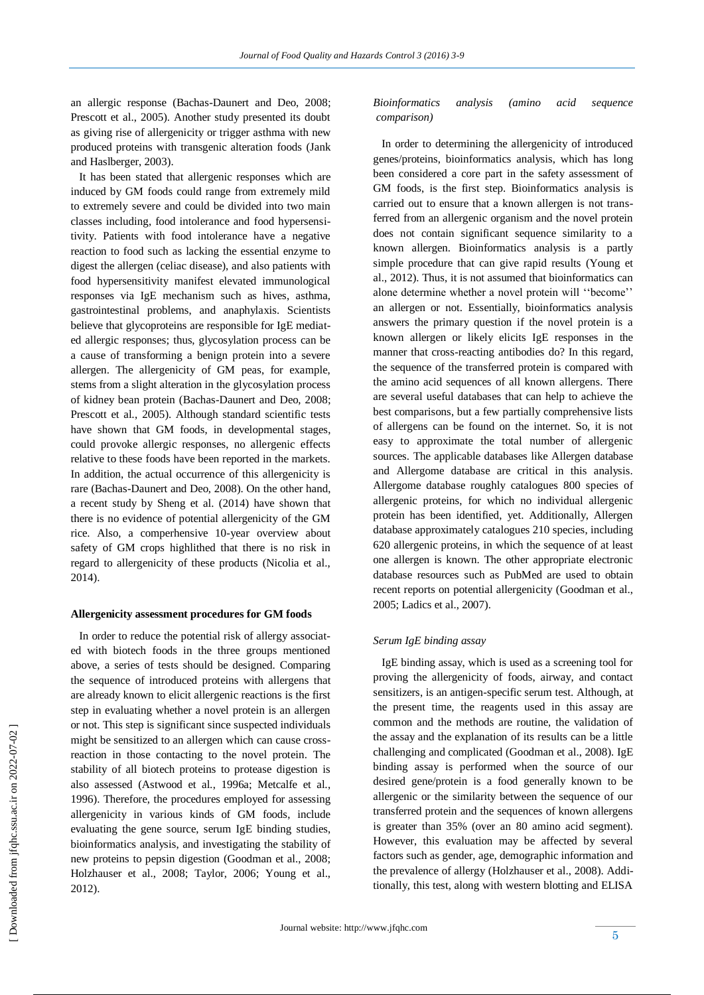an allergic response (Bachas-Daunert and Deo, 2008; Prescott et al., 2005). Another study presented its doubt as giving rise of allergenicity or trigger asthma with new produced proteins with transgenic alteration foods (Jank and Haslberger, 2003).

 It has been stated that allergenic responses which are induced by GM foods could range from extremely mild to extremely severe and could be divided into two main classes including, food intolerance and food hypersensitivity. Patients with food intolerance have a negative reaction to food such as lacking the essential enzyme to digest the allergen (celiac disease), and also patients with food hypersensitivity manifest elevated immunological responses via IgE mechanism such as hives, asthma, gastrointestinal problems, and anaphylaxis. Scientists believe that glycoproteins are responsible for IgE mediated allergic responses; thus, glycosylation process can be a cause of transforming a benign protein into a severe allergen. The allergenicity of GM peas, for example, stems from a slight alteration in the glycosylation process of kidney bean protein (Bachas-Daunert and Deo, 2008; Prescott et al*.*, 2005). Although standard scientific tests have shown that GM foods, in developmental stages, could provoke allergic responses, no allergenic effects relative to these foods have been reported in the markets. In addition, the actual occurrence of this allergenicity is rare (Bachas-Daunert and Deo, 2008). On the other hand, a recent study by Sheng et al. (2014) have shown that there is no evidence of potential allergenicity of the GM rice. Also, a comperhensive 10-year overview about safety of GM crops highlithed that there is no risk in regard to allergenicity of these products (Nicolia et al., 2014).

# **Allergenicity assessment procedures for GM foods**

 In order to reduce the potential risk of allergy associated with biotech foods in the three groups mentioned above, a series of tests should be designed. Comparing the sequence of introduced proteins with allergens that are already known to elicit allergenic reactions is the first step in evaluating whether a novel protein is an allergen or not. This step is significant since suspected individuals might be sensitized to an allergen which can cause crossreaction in those contacting to the novel protein. The stability of all biotech proteins to protease digestion is also assessed (Astwood et al*.*, 1996a; Metcalfe et al*.*, 1996). Therefore, the procedures employed for assessing allergenicity in various kinds of GM foods, include evaluating the gene source, serum IgE binding studies, bioinformatics analysis, and investigating the stability of new proteins to pepsin digestion (Goodman et al., 2008; Holzhauser et al., 2008; Taylor, 2006; Young et al., 2012).

# *Bioinformatics analysis (amino acid sequence comparison)*

 In order to determining the allergenicity of introduced genes/proteins, bioinformatics analysis, which has long been considered a core part in the safety assessment of GM foods, is the first step. Bioinformatics analysis is carried out to ensure that a known allergen is not transferred from an allergenic organism and the novel protein does not contain significant sequence similarity to a known allergen. Bioinformatics analysis is a partly simple procedure that can give rapid results (Young et al., 2012). Thus, it is not assumed that bioinformatics can alone determine whether a novel protein will ''become'' an allergen or not. Essentially, bioinformatics analysis answers the primary question if the novel protein is a known allergen or likely elicits IgE responses in the manner that cross-reacting antibodies do? In this regard, the sequence of the transferred protein is compared with the amino acid sequences of all known allergens. There are several useful databases that can help to achieve the best comparisons, but a few partially comprehensive lists of allergens can be found on the internet. So, it is not easy to approximate the total number of allergenic sources. The applicable databases like Allergen database and Allergome database are critical in this analysis. Allergome database roughly catalogues 800 species of allergenic proteins, for which no individual allergenic protein has been identified, yet. Additionally, Allergen database approximately catalogues 210 species, including 620 allergenic proteins, in which the sequence of at least one allergen is known. The other appropriate electronic database resources such as PubMed are used to obtain recent reports on potential allergenicity (Goodman et al., 2005; Ladics et al., 2007).

# *Serum IgE binding assay*

 IgE binding assay, which is used as a screening tool for proving the allergenicity of foods, airway, and contact sensitizers, is an antigen-specific serum test. Although, at the present time, the reagents used in this assay are common and the methods are routine, the validation of the assay and the explanation of its results can be a little challenging and complicated (Goodman et al., 2008). IgE binding assay is performed when the source of our desired gene/protein is a food generally known to be allergenic or the similarity between the sequence of our transferred protein and the sequences of known allergens is greater than 35% (over an 80 amino acid segment). However, this evaluation may be affected by several factors such as gender, age, demographic information and the prevalence of allergy (Holzhauser et al., 2008). Additionally, this test, along with western blotting and ELISA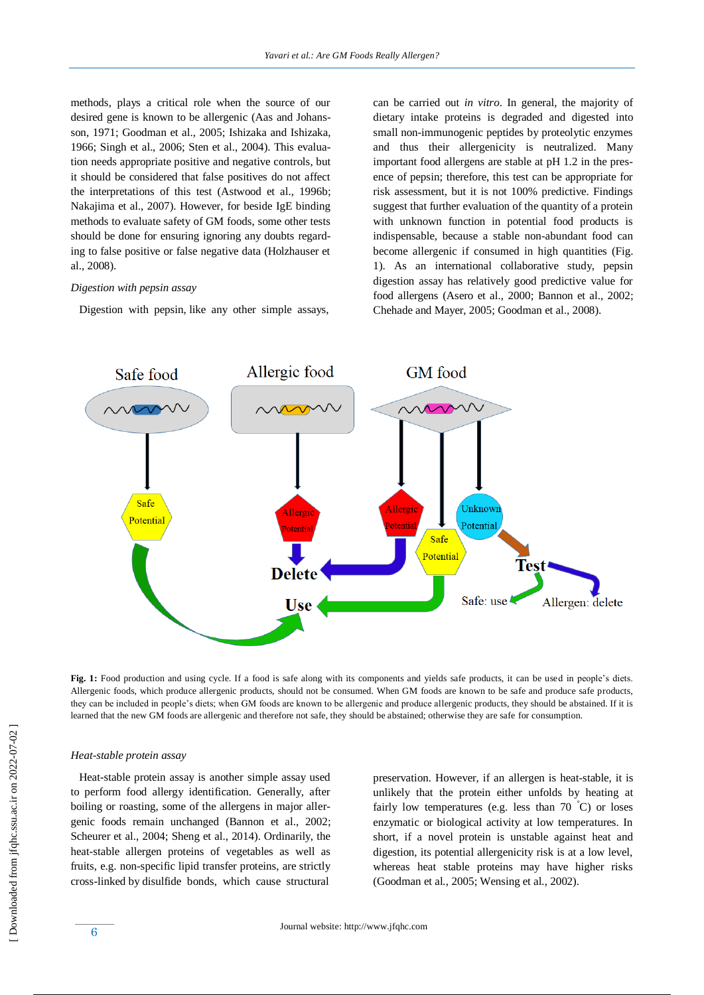methods, plays a critical role when the source of our desired gene is known to be allergenic (Aas and Johansson, 1971; Goodman et al., 2005; Ishizaka and Ishizaka, 1966; Singh et al., 2006; Sten et al., 2004). This evaluation needs appropriate positive and negative controls, but it should be considered that false positives do not affect the interpretations of this test (Astwood et al., 1996b; Nakajima et al., 2007). However, for beside IgE binding methods to evaluate safety of GM foods, some other tests should be done for ensuring ignoring any doubts regarding to false positive or false negative data (Holzhauser et al., 2008).

#### *Digestion with pepsin assay*

Digestion with pepsin, like any other simple assays,

can be carried out *in vitro*. In general, the majority of dietary intake proteins is degraded and digested into small non-immunogenic peptides by proteolytic enzymes and thus their allergenicity is neutralized. Many important food allergens are stable at pH 1.2 in the presence of pepsin; therefore, this test can be appropriate for risk assessment, but it is not 100% predictive. Findings suggest that further evaluation of the quantity of a protein with unknown function in potential food products is indispensable, because a stable non-abundant food can become allergenic if consumed in high quantities (Fig. 1). As an international collaborative study, pepsin digestion assay has relatively good predictive value for food allergens (Asero et al., 2000; Bannon et al., 2002; Chehade and Mayer, 2005; Goodman et al., 2008).



**Fig. 1:** Food production and using cycle. If a food is safe along with its components and yields safe products, it can be used in people's diets. Allergenic foods, which produce allergenic products, should not be consumed. When GM foods are known to be safe and produce safe products, they can be included in people's diets; when GM foods are known to be allergenic and produce allergenic products, they should be abstained. If it is learned that the new GM foods are allergenic and therefore not safe, they should be abstained; otherwise they are safe for consumption.

#### *Heat-stable protein assay*

 Heat-stable protein assay is another simple assay used to perform food allergy identification. Generally, after boiling or roasting, some of the allergens in major allergenic foods remain unchanged (Bannon et al., 2002; Scheurer et al., 2004; Sheng et al., 2014). Ordinarily, the heat-stable allergen proteins of vegetables as well as fruits, e.g. non-specific lipid transfer proteins, are strictly cross-linked by disulfide bonds, which cause structural

preservation. However, if an allergen is heat-stable, it is unlikely that the protein either unfolds by heating at fairly low temperatures (e.g. less than  $70\degree C$ ) or loses enzymatic or biological activity at low temperatures. In short, if a novel protein is unstable against heat and digestion, its potential allergenicity risk is at a low level, whereas heat stable proteins may have higher risks (Goodman et al*.*, 2005; Wensing et al*.*, 2002).

 [\[ Downloaded from jfqhc.ssu.ac.ir on 2022](http://jfqhc.ssu.ac.ir/article-1-223-en.html)-07-02 ] Downloaded from jfqhc.ssu.ac.ir on 2022-07-02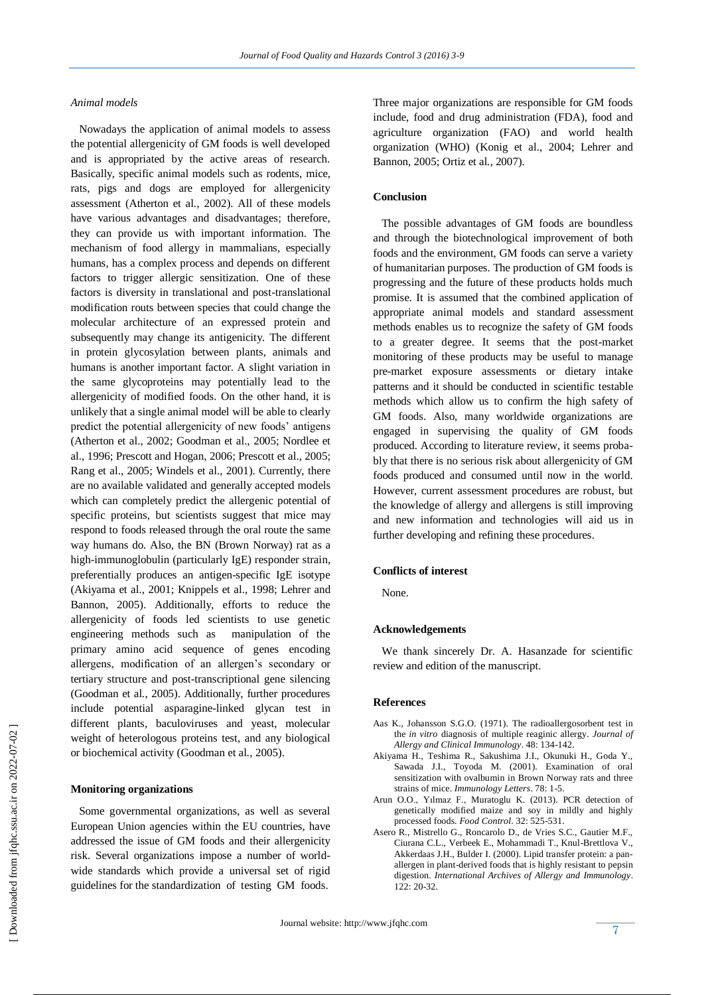# *Animal models*

 Nowadays the application of animal models to assess the potential allergenicity of GM foods is well developed and is appropriated by the active areas of research. Basically, specific animal models such as rodents, mice, rats, pigs and dogs are employed for allergenicity assessment (Atherton et al*.*, 2002). All of these models have various advantages and disadvantages; therefore, they can provide us with important information. The mechanism of food allergy in mammalians, especially humans, has a complex process and depends on different factors to trigger allergic sensitization. One of these factors is diversity in translational and post-translational modification routs between species that could change the molecular architecture of an expressed protein and subsequently may change its antigenicity. The different in protein glycosylation between plants, animals and humans is another important factor. A slight variation in the same glycoproteins may potentially lead to the allergenicity of modified foods. On the other hand, it is unlikely that a single animal model will be able to clearly predict the potential allergenicity of new foods' antigens (Atherton et al., 2002; Goodman et al., 2005; Nordlee et al., 1996; Prescott and Hogan, 2006; Prescott et al., 2005; Rang et al., 2005; Windels et al., 2001). Currently, there are no available validated and generally accepted models which can completely predict the allergenic potential of specific proteins, but scientists suggest that mice may respond to foods released through the oral route the same way humans do. Also, the BN (Brown Norway) rat as a high-immunoglobulin (particularly IgE) responder strain, preferentially produces an antigen-specific IgE isotype (Akiyama et al., 2001; Knippels et al., 1998; Lehrer and Bannon, 2005). Additionally, efforts to reduce the allergenicity of foods led scientists to use genetic engineering methods such as manipulation of the primary amino acid sequence of genes encoding allergens, modification of an allergen's secondary or tertiary structure and post-transcriptional gene silencing (Goodman et al*.*, 2005). Additionally, further procedures include potential asparagine-linked glycan test in different plants, baculoviruses and yeast, molecular weight of heterologous proteins test, and any biological or biochemical activity (Goodman et al*.*, 2005).

# **Monitoring organizations**

 Some governmental organizations, as well as several European Union agencies within the EU countries, have addressed the issue of GM foods and their allergenicity risk. Several organizations impose a number of worldwide standards which provide a universal set of rigid guidelines for the standardization of testing GM foods.

Three major organizations are responsible for GM foods include, food and drug administration (FDA), food and agriculture organization (FAO) and world health organization (WHO) (Konig et al., 2004; Lehrer and Bannon, 2005; Ortiz et al*.*, 2007).

# **Conclusion**

 The possible advantages of GM foods are boundless and through the biotechnological improvement of both foods and the environment, GM foods can serve a variety of humanitarian purposes. The production of GM foods is progressing and the future of these products holds much promise. It is assumed that the combined application of appropriate animal models and standard assessment methods enables us to recognize the safety of GM foods to a greater degree. It seems that the post-market monitoring of these products may be useful to manage pre-market exposure assessments or dietary intake patterns and it should be conducted in scientific testable methods which allow us to confirm the high safety of GM foods. Also, many worldwide organizations are engaged in supervising the quality of GM foods produced. According to literature review, it seems probably that there is no serious risk about allergenicity of GM foods produced and consumed until now in the world. However, current assessment procedures are robust, but the knowledge of allergy and allergens is still improving and new information and technologies will aid us in further developing and refining these procedures.

#### **Conflicts of interest**

None.

#### **Acknowledgements**

 We thank sincerely Dr. A. Hasanzade for scientific review and edition of the manuscript.

#### **References**

- Aas K., Johansson S.G.O. (1971). The radioallergosorbent test in the *in vitro* diagnosis of multiple reaginic allergy. *Journal of Allergy and Clinical Immunology*. 48: 134-142.
- Akiyama H., Teshima R., Sakushima J.I., Okunuki H., Goda Y., Sawada J.I., Toyoda M. (2001). Examination of oral sensitization with ovalbumin in Brown Norway rats and three strains of mice. *Immunology Letters*. 78: 1-5.
- Arun O.O., Yılmaz F., Muratoglu K. (2013). PCR detection of genetically modified maize and soy in mildly and highly processed foods. *Food Control*. 32: 525-531.
- Asero R., Mistrello G., Roncarolo D., de Vries S.C., Gautier M.F., Ciurana C.L., Verbeek E., Mohammadi T., Knul-Brettlova V., Akkerdaas J.H., Bulder I. (2000). Lipid transfer protein: a panallergen in plant-derived foods that is highly resistant to pepsin digestion. *International Archives of Allergy and Immunology*. 122: 20-32.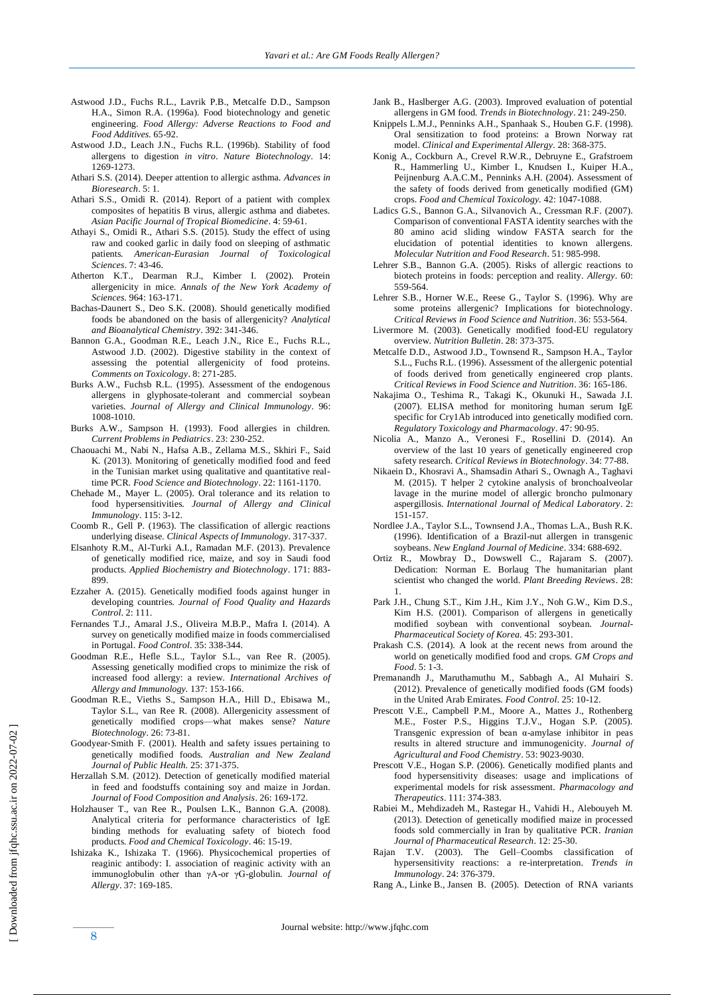- Astwood J.D., Fuchs R.L., Lavrik P.B., Metcalfe D.D., Sampson H.A., Simon R.A. (1996a). Food biotechnology and genetic engineering. *Food Allergy: Adverse Reactions to Food and Food Additives.* 65-92.
- Astwood J.D., Leach J.N., Fuchs R.L. (1996b). Stability of food allergens to digestion *in vitro*. *Nature Biotechnology*. 14: 1269-1273.
- Athari S.S. (2014). Deeper attention to allergic asthma. *Advances in Bioresearch*. 5: 1.
- Athari S.S., Omidi R. (2014). Report of a patient with complex composites of hepatitis B virus, allergic asthma and diabetes. *Asian Pacific Journal of Tropical Biomedicine*. 4: 59-61.
- Athayi S., Omidi R., Athari S.S. (2015). Study the effect of using raw and cooked garlic in daily food on sleeping of asthmatic patients. *American-Eurasian Journal of Toxicological Sciences*. 7: 43-46.
- Atherton K.T., Dearman R.J., Kimber I. (2002). Protein allergenicity in mice. *Annals of the New York Academy of Sciences.* 964: 163-171.
- Bachas-Daunert S., Deo S.K. (2008). Should genetically modified foods be abandoned on the basis of allergenicity? *Analytical and Bioanalytical Chemistry*. 392: 341-346.
- Bannon G.A., Goodman R.E., Leach J.N., Rice E., Fuchs R.L., Astwood J.D. (2002). Digestive stability in the context of assessing the potential allergenicity of food proteins. *Comments on Toxicology*. 8: 271-285.
- Burks A.W., Fuchsb R.L. (1995). Assessment of the endogenous allergens in glyphosate-tolerant and commercial soybean varieties. *Journal of Allergy and Clinical Immunology*. 96: 1008-1010.
- Burks A.W., Sampson H. (1993). Food allergies in children. *Current Problems in Pediatrics*. 23: 230-252.
- Chaouachi M., Nabi N., Hafsa A.B., Zellama M.S., Skhiri F., Said K. (2013). Monitoring of genetically modified food and feed in the Tunisian market using qualitative and quantitative realtime PCR. *Food Science and Biotechnology*. 22: 1161-1170.
- Chehade M., Mayer L. (2005). Oral tolerance and its relation to food hypersensitivities. *Journal of Allergy and Clinical Immunology*. 115: 3-12.
- Coomb R., Gell P. (1963). The classification of allergic reactions underlying disease. *Clinical Aspects of Immunology*. 317-337.
- Elsanhoty R.M., Al-Turki A.I., Ramadan M.F. (2013). Prevalence of genetically modified rice, maize, and soy in Saudi food products. *Applied Biochemistry and Biotechnology*. 171: 883- 899.
- Ezzaher A. (2015). Genetically modified foods against hunger in developing countries. *Journal of Food Quality and Hazards Control*. 2: 111.
- Fernandes T.J., Amaral J.S., Oliveira M.B.P., Mafra I. (2014). A survey on genetically modified maize in foods commercialised in Portugal. *Food Control*. 35: 338-344.
- Goodman R.E., Hefle S.L., Taylor S.L., van Ree R. (2005). Assessing genetically modified crops to minimize the risk of increased food allergy: a review. *International Archives of Allergy and Immunology.* 137: 153-166.
- Goodman R.E., Vieths S., Sampson H.A., Hill D., Ebisawa M., Taylor S.L., van Ree R. (2008). Allergenicity assessment of genetically modified crops—what makes sense? *Nature Biotechnology*. 26: 73-81.
- Goodyear‐Smith F. (2001). Health and safety issues pertaining to genetically modified foods. *Australian and New Zealand Journal of Public Health.* 25: 371-375.
- Herzallah S.M. (2012). Detection of genetically modified material in feed and foodstuffs containing soy and maize in Jordan. *Journal of Food Composition and Analysis*. 26: 169-172.
- Holzhauser T., van Ree R., Poulsen L.K., Bannon G.A. (2008). Analytical criteria for performance characteristics of IgE binding methods for evaluating safety of biotech food products. *Food and Chemical Toxicology*. 46: 15-19.
- Ishizaka K., Ishizaka T. (1966). Physicochemical properties of reaginic antibody: I. association of reaginic activity with an immunoglobulin other than γA-or γG-globulin. *Journal of Allergy*. 37: 169-185.
- Jank B., Haslberger A.G. (2003). Improved evaluation of potential allergens in GM food. *Trends in Biotechnology*. 21: 249-250.
- Knippels L.M.J., Penninks A.H., Spanhaak S., Houben G.F. (1998). Oral sensitization to food proteins: a Brown Norway rat model. *Clinical and Experimental Allergy.* 28: 368-375.
- Konig A., Cockburn A., Crevel R.W.R., Debruyne E., Grafstroem R., Hammerling U., Kimber I., Knudsen I., Kuiper H.A., Peijnenburg A.A.C.M., Penninks A.H. (2004). Assessment of the safety of foods derived from genetically modified (GM) crops. *Food and Chemical Toxicology.* 42: 1047-1088.
- Ladics G.S., Bannon G.A., Silvanovich A., Cressman R.F. (2007). Comparison of conventional FASTA identity searches with the 80 amino acid sliding window FASTA search for the elucidation of potential identities to known allergens. *Molecular Nutrition and Food Research*. 51: 985-998.
- Lehrer S.B., Bannon G.A. (2005). Risks of allergic reactions to biotech proteins in foods: perception and reality. *Allergy*. 60: 559-564.
- Lehrer S.B., Horner W.E., Reese G., Taylor S. (1996). Why are some proteins allergenic? Implications for biotechnology. *Critical Reviews in Food Science and Nutrition*. 36: 553-564.
- Livermore M. (2003). Genetically modified food-EU regulatory overview. *Nutrition Bulletin*. 28: 373-375.
- Metcalfe D.D., Astwood J.D., Townsend R., Sampson H.A., Taylor S.L., Fuchs R.L. (1996). Assessment of the allergenic potential of foods derived from genetically engineered crop plants. *Critical Reviews in Food Science and Nutrition*. 36: 165-186.
- Nakajima O., Teshima R., Takagi K., Okunuki H., Sawada J.I. (2007). ELISA method for monitoring human serum IgE specific for Cry1Ab introduced into genetically modified corn. *Regulatory Toxicology and Pharmacology*. 47: 90-95.
- Nicolia A., Manzo A., Veronesi F., Rosellini D. (2014). An overview of the last 10 years of genetically engineered crop safety research. *Critical Reviews in Biotechnology*. 34: 77-88.
- Nikaein D., Khosravi A., Shamsadin Athari S., Ownagh A., Taghavi M. (2015). T helper 2 cytokine analysis of bronchoalveolar lavage in the murine model of allergic broncho pulmonary aspergillosis. *International Journal of Medical Laboratory*. 2: 151-157.
- Nordlee J.A., Taylor S.L., Townsend J.A., Thomas L.A., Bush R.K. (1996). Identification of a Brazil-nut allergen in transgenic soybeans. *New England Journal of Medicine*. 334: 688-692.
- Ortiz R., Mowbray D., Dowswell C., Rajaram S. (2007). Dedication: Norman E. Borlaug The humanitarian plant scientist who changed the world. *Plant Breeding Reviews*. 28: 1.
- Park J.H., Chung S.T., Kim J.H., Kim J.Y., Noh G.W., Kim D.S., Kim H.S. (2001). Comparison of allergens in genetically modified soybean with conventional soybean. *Journal-Pharmaceutical Society of Korea.* 45: 293-301.
- Prakash C.S. (2014). A look at the recent news from around the world on genetically modified food and crops. *GM Crops and Food*. 5: 1-3.
- Premanandh J., Maruthamuthu M., Sabbagh A., Al Muhairi S. (2012). Prevalence of genetically modified foods (GM foods) in the United Arab Emirates. *Food Control*. 25: 10-12.
- Prescott V.E., Campbell P.M., Moore A., Mattes J., Rothenberg M.E., Foster P.S., Higgins T.J.V., Hogan S.P. (2005). Transgenic expression of bean α-amylase inhibitor in peas results in altered structure and immunogenicity. *Journal of Agricultural and Food Chemistry*. 53: 9023-9030.
- Prescott V.E., Hogan S.P. (2006). Genetically modified plants and food hypersensitivity diseases: usage and implications of experimental models for risk assessment. *Pharmacology and Therapeutics*. 111: 374-383.
- Rabiei M., Mehdizadeh M., Rastegar H., Vahidi H., Alebouyeh M. (2013). Detection of genetically modified maize in processed foods sold commercially in Iran by qualitative PCR. *Iranian Journal of Pharmaceutical Research*. 12: 25-30.
- Rajan T.V. (2003). The Gell–Coombs classification of hypersensitivity reactions: a re-interpretation. *Trends in Immunology*. 24: 376-379.
- Rang A., Linke B., Jansen B. (2005). Detection of RNA variants